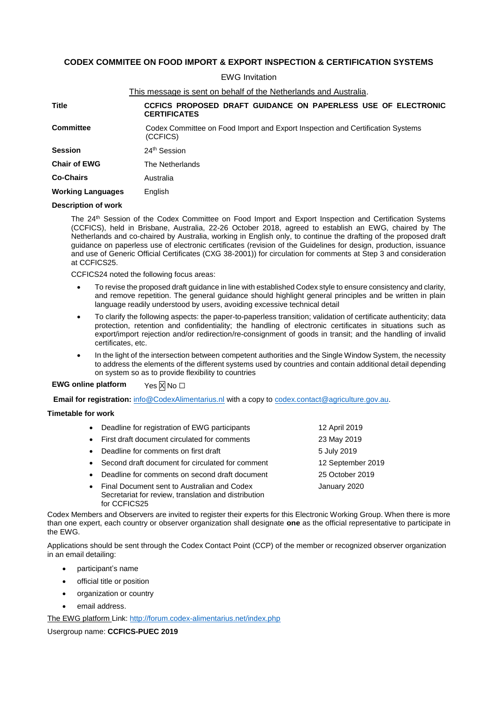## **CODEX COMMITEE ON FOOD IMPORT & EXPORT INSPECTION & CERTIFICATION SYSTEMS**

EWG Invitation

|                                                                                                                | This message is sent on behalf of the Netherlands and Australia.                     |  |  |
|----------------------------------------------------------------------------------------------------------------|--------------------------------------------------------------------------------------|--|--|
| Title                                                                                                          | CCFICS PROPOSED DRAFT GUIDANCE ON PAPERLESS USE OF ELECTRONIC<br><b>CERTIFICATES</b> |  |  |
| <b>Committee</b><br>Codex Committee on Food Import and Export Inspection and Certification Systems<br>(CCFICS) |                                                                                      |  |  |
| <b>Session</b>                                                                                                 | 24 <sup>th</sup> Session                                                             |  |  |
| <b>Chair of EWG</b>                                                                                            | The Netherlands                                                                      |  |  |
| <b>Co-Chairs</b>                                                                                               | Australia                                                                            |  |  |
| <b>Working Languages</b>                                                                                       | English                                                                              |  |  |

## **Description of work**

The 24<sup>th</sup> Session of the Codex Committee on Food Import and Export Inspection and Certification Systems (CCFICS), held in Brisbane, Australia, 22-26 October 2018, agreed to establish an EWG, chaired by The Netherlands and co-chaired by Australia, working in English only, to continue the drafting of the proposed draft guidance on paperless use of electronic certificates (revision of the Guidelines for design, production, issuance and use of Generic Official Certificates (CXG 38-2001)) for circulation for comments at Step 3 and consideration at CCFICS25.

CCFICS24 noted the following focus areas:

- To revise the proposed draft guidance in line with established Codex style to ensure consistency and clarity, and remove repetition. The general guidance should highlight general principles and be written in plain language readily understood by users, avoiding excessive technical detail
- To clarify the following aspects: the paper-to-paperless transition; validation of certificate authenticity; data protection, retention and confidentiality; the handling of electronic certificates in situations such as export/import rejection and/or redirection/re-consignment of goods in transit; and the handling of invalid certificates, etc.
- In the light of the intersection between competent authorities and the Single Window System, the necessity to address the elements of the different systems used by countries and contain additional detail depending on system so as to provide flexibility to countries

**EWG online platform** Yes **X** No □

**Email for registration:** [info@CodexAlimentarius.nl](mailto:info@CodexAlimentarius.nl) with a copy to [codex.contact@agriculture.gov.au.](mailto:codex.contact@agriculture.gov.au)

## **Timetable for work**

| • Deadline for registration of EWG participants                                                                       | 12 April 2019     |
|-----------------------------------------------------------------------------------------------------------------------|-------------------|
| • First draft document circulated for comments                                                                        | 23 May 2019       |
| • Deadline for comments on first draft                                                                                | 5 July 2019       |
| • Second draft document for circulated for comment                                                                    | 12 September 2019 |
| • Deadline for comments on second draft document                                                                      | 25 October 2019   |
| • Final Document sent to Australian and Codex<br>Secretariat for review, translation and distribution<br>for CCFICS25 | January 2020      |

Codex Members and Observers are invited to register their experts for this Electronic Working Group. When there is more than one expert, each country or observer organization shall designate **one** as the official representative to participate in the EWG.

Applications should be sent through the Codex Contact Point (CCP) of the member or recognized observer organization in an email detailing:

- participant's name
- official title or position
- organization or country
- email address.

The EWG platform Link:<http://forum.codex-alimentarius.net/index.php>

Usergroup name: **CCFICS-PUEC 2019**